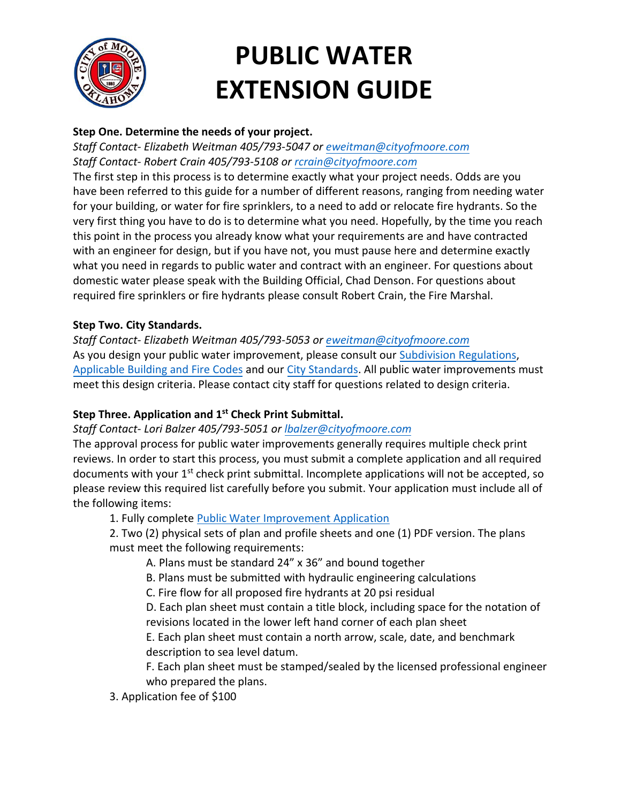

# **PUBLIC WATER EXTENSION GUIDE**

## **Step One. Determine the needs of your project.**

*Staff Contact- Elizabeth Weitman 405/793-5047 or [eweitman@cityofmoore.com](mailto:eweitman@cityofmoore.com) Staff Contact- Robert Crain 405/793-5108 or [rcrain@cityofmoore.com](mailto:rcrain@cityofmoore.com)*

The first step in this process is to determine exactly what your project needs. Odds are you have been referred to this guide for a number of different reasons, ranging from needing water for your building, or water for fire sprinklers, to a need to add or relocate fire hydrants. So the very first thing you have to do is to determine what you need. Hopefully, by the time you reach this point in the process you already know what your requirements are and have contracted with an engineer for design, but if you have not, you must pause here and determine exactly what you need in regards to public water and contract with an engineer. For questions about domestic water please speak with the Building Official, Chad Denson. For questions about required fire sprinklers or fire hydrants please consult Robert Crain, the Fire Marshal.

## **Step Two. City Standards.**

*Staff Contact- Elizabeth Weitman 405/793-5053 or [eweitman@cityofmoore.com](mailto:eweitman@cityofmoore.com)* As you design your public water improvement, please consult our [Subdivision Regulations,](https://library.municode.com/ok/moore/codes/land_development_code?nodeId=PT12LADECO_CH5SURE) [Applicable Building and Fire Codes](https://library.municode.com/ok/moore/codes/code_of_ordinances?nodeId=PT5BURECO_CH2BUCORE_ARTDAWCAPACO) and ou[r City Standards.](https://www.cityofmoore.com/departments/planning-development/public-improvements) All public water improvements must meet this design criteria. Please contact city staff for questions related to design criteria.

# **Step Three. Application and 1 st Check Print Submittal.**

## *Staff Contact- Lori Balzer 405/793-5051 or lbalzer[@cityofmoore.c](mailto:nkerbo@cityofmoore.com)om*

The approval process for public water improvements generally requires multiple check print reviews. In order to start this process, you must submit a complete application and all required documents with your 1<sup>st</sup> check print submittal. Incomplete applications will not be accepted, so please review this required list carefully before you submit. Your application must include all of the following items:

1. Fully complete [Public Water Improvement Application](https://www.cityofmoore.com/uploads/Community-Development/Public-Improvement-Application.pdf)

2. Two (2) physical sets of plan and profile sheets and one (1) PDF version. The plans must meet the following requirements:

A. Plans must be standard 24" x 36" and bound together

B. Plans must be submitted with hydraulic engineering calculations

C. Fire flow for all proposed fire hydrants at 20 psi residual

D. Each plan sheet must contain a title block, including space for the notation of revisions located in the lower left hand corner of each plan sheet

E. Each plan sheet must contain a north arrow, scale, date, and benchmark description to sea level datum.

F. Each plan sheet must be stamped/sealed by the licensed professional engineer who prepared the plans.

3. Application fee of \$100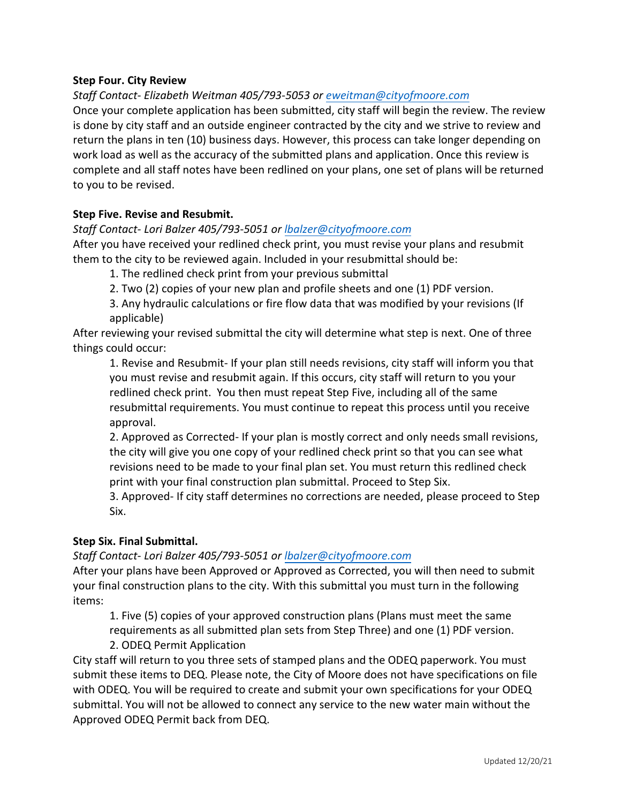#### **Step Four. City Review**

*Staff Contact- Elizabeth Weitman 405/793-5053 or [eweitman@cityofmoore.com](mailto:eweitman@cityofmoore.com)*

Once your complete application has been submitted, city staff will begin the review. The review is done by city staff and an outside engineer contracted by the city and we strive to review and return the plans in ten (10) business days. However, this process can take longer depending on work load as well as the accuracy of the submitted plans and application. Once this review is complete and all staff notes have been redlined on your plans, one set of plans will be returned to you to be revised.

#### **Step Five. Revise and Resubmit.**

#### *Staff Contact- Lori Balzer 405/793-5051 or lbalzer[@cityofmoore.c](mailto:nkerbo@cityofmoore.com)om*

After you have received your redlined check print, you must revise your plans and resubmit them to the city to be reviewed again. Included in your resubmittal should be:

1. The redlined check print from your previous submittal

2. Two (2) copies of your new plan and profile sheets and one (1) PDF version.

3. Any hydraulic calculations or fire flow data that was modified by your revisions (If applicable)

After reviewing your revised submittal the city will determine what step is next. One of three things could occur:

1. Revise and Resubmit- If your plan still needs revisions, city staff will inform you that you must revise and resubmit again. If this occurs, city staff will return to you your redlined check print. You then must repeat Step Five, including all of the same resubmittal requirements. You must continue to repeat this process until you receive approval.

2. Approved as Corrected- If your plan is mostly correct and only needs small revisions, the city will give you one copy of your redlined check print so that you can see what revisions need to be made to your final plan set. You must return this redlined check print with your final construction plan submittal. Proceed to Step Six.

3. Approved- If city staff determines no corrections are needed, please proceed to Step Six.

#### **Step Six. Final Submittal.**

*Staff Contact- Lori Balzer 405/793-5051 or lbalzer[@cityofmoore.c](mailto:nkerbo@cityofmoore.com)om*

After your plans have been Approved or Approved as Corrected, you will then need to submit your final construction plans to the city. With this submittal you must turn in the following items:

1. Five (5) copies of your approved construction plans (Plans must meet the same requirements as all submitted plan sets from Step Three) and one (1) PDF version.

#### 2. ODEQ Permit Application

City staff will return to you three sets of stamped plans and the ODEQ paperwork. You must submit these items to DEQ. Please note, the City of Moore does not have specifications on file with ODEQ. You will be required to create and submit your own specifications for your ODEQ submittal. You will not be allowed to connect any service to the new water main without the Approved ODEQ Permit back from DEQ.